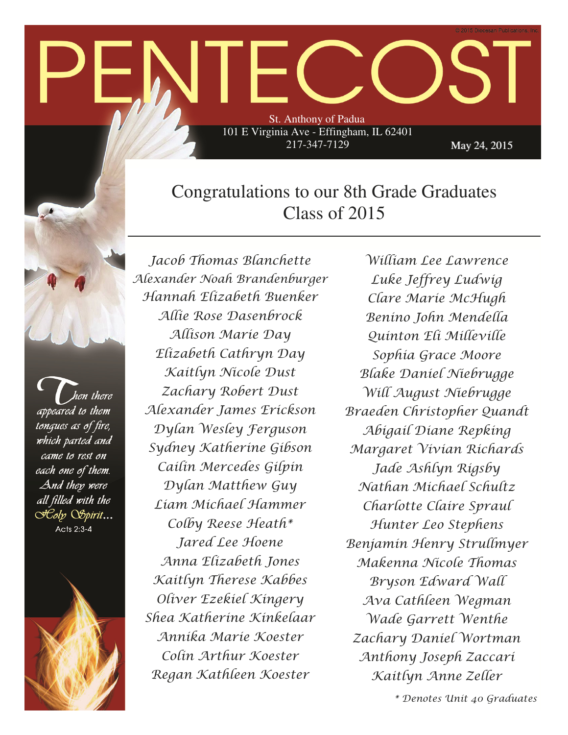# St. Anthony of Padua 101 E Virginia Ave - Effingham, IL 62401

217-347-7129

May 24, 2015

# Congratulations to our 8th Grade Graduates Class of 2015

hen there appeared to them tonques as of fire, which parted and came to rest on each one of them. And they were all filled with the **Coly Ospirit...** Acts 2:3-4



Jacob Thomas Blanchette Alexander Noah Brandenburger Hannah Elizabeth Buenker Allie Rose Dasenbrock Allison Marie Day Elizabeth Cathryn Day Kaitlyn Nicole Dust Zachary Robert Dust Alexander James Erickson Dylan Wesley Ferguson Sydney Katherine Gibson Cailin Mercedes Gilpin Dylan Matthew Guy Liam Michael Hammer Colby Reese Heath\* Jared Lee Hoene Anna Elizabeth Jones Kaitlyn Therese Kabbes Oliver Ezekiel Kingery Shea Katherine Kinkelaar Annika Marie Koester Colin Arthur Koester Regan Kathleen Koester

William Lee Lawrence Luke Jeffrey Ludwig Clare Marie McHugh Benino John Mendella Quinton Eli Milleville Sophia Grace Moore Blake Daniel Niebrugge Will August Niebrugge Braeden Christopher Quandt Abigail Diane Repking Margaret Vivian Richards Jade Ashlyn Rigsby Nathan Michael Schultz Charlotte Claire Spraul Hunter Leo Stephens Benjamin Henry Strullmyer Makenna Nicole Thomas Bryson Edward Wall Ava Cathleen Wegman Wade Garrett Wenthe Zachary Daniel Wortman Anthony Joseph Zaccari Kaitlyn Anne Zeller

\* Denotes Unit 40 Graduates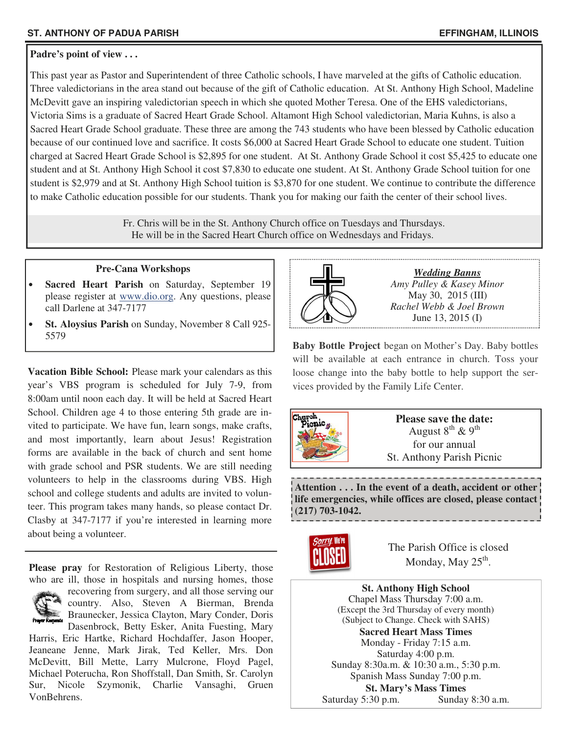# **Padre's point of view . . .**

This past year as Pastor and Superintendent of three Catholic schools, I have marveled at the gifts of Catholic education. Three valedictorians in the area stand out because of the gift of Catholic education. At St. Anthony High School, Madeline McDevitt gave an inspiring valedictorian speech in which she quoted Mother Teresa. One of the EHS valedictorians, Victoria Sims is a graduate of Sacred Heart Grade School. Altamont High School valedictorian, Maria Kuhns, is also a Sacred Heart Grade School graduate. These three are among the 743 students who have been blessed by Catholic education because of our continued love and sacrifice. It costs \$6,000 at Sacred Heart Grade School to educate one student. Tuition charged at Sacred Heart Grade School is \$2,895 for one student. At St. Anthony Grade School it cost \$5,425 to educate one student and at St. Anthony High School it cost \$7,830 to educate one student. At St. Anthony Grade School tuition for one student is \$2,979 and at St. Anthony High School tuition is \$3,870 for one student. We continue to contribute the difference to make Catholic education possible for our students. Thank you for making our faith the center of their school lives.

> Fr. Chris will be in the St. Anthony Church office on Tuesdays and Thursdays. He will be in the Sacred Heart Church office on Wednesdays and Fridays.

# **Pre-Cana Workshops**

- **Sacred Heart Parish on Saturday, September 19** please register at www.dio.org. Any questions, please call Darlene at 347-7177
- **St. Aloysius Parish** on Sunday, November 8 Call 925- 5579

**Vacation Bible School:** Please mark your calendars as this year's VBS program is scheduled for July 7-9, from 8:00am until noon each day. It will be held at Sacred Heart School. Children age 4 to those entering 5th grade are invited to participate. We have fun, learn songs, make crafts, and most importantly, learn about Jesus! Registration forms are available in the back of church and sent home with grade school and PSR students. We are still needing volunteers to help in the classrooms during VBS. High school and college students and adults are invited to volunteer. This program takes many hands, so please contact Dr. Clasby at 347-7177 if you're interested in learning more about being a volunteer.

**Please pray** for Restoration of Religious Liberty, those who are ill, those in hospitals and nursing homes, those



recovering from surgery, and all those serving our country. Also, Steven A Bierman, Brenda Braunecker, Jessica Clayton, Mary Conder, Doris

Dasenbrock, Betty Esker, Anita Fuesting, Mary Harris, Eric Hartke, Richard Hochdaffer, Jason Hooper, Jeaneane Jenne, Mark Jirak, Ted Keller, Mrs. Don McDevitt, Bill Mette, Larry Mulcrone, Floyd Pagel, Michael Poterucha, Ron Shoffstall, Dan Smith, Sr. Carolyn Sur, Nicole Szymonik, Charlie Vansaghi, Gruen VonBehrens.



*Wedding Banns Amy Pulley & Kasey Minor*  May 30, 2015 (III) *Rachel Webb & Joel Brown*  June 13, 2015 (I)

**Baby Bottle Project** began on Mother's Day. Baby bottles will be available at each entrance in church. Toss your loose change into the baby bottle to help support the services provided by the Family Life Center.



**Please save the date:**  August  $8^{th}$  &  $9^{th}$ for our annual St. Anthony Parish Picnic

**Attention . . . In the event of a death, accident or other life emergencies, while offices are closed, please contact (217) 703-1042.** 



The Parish Office is closed Monday, May  $25^{\text{th}}$ .

**St. Anthony High School**  Chapel Mass Thursday 7:00 a.m. (Except the 3rd Thursday of every month) (Subject to Change. Check with SAHS) **Sacred Heart Mass Times**  Monday - Friday 7:15 a.m. Saturday 4:00 p.m. Sunday 8:30a.m. & 10:30 a.m., 5:30 p.m. Spanish Mass Sunday 7:00 p.m. **St. Mary's Mass Times**  Saturday 5:30 p.m. Sunday 8:30 a.m.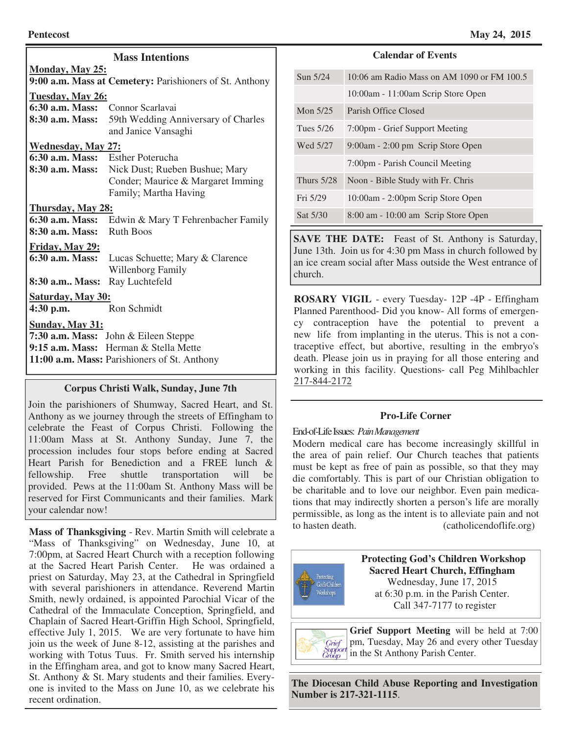| <b>Mass Intentions</b>                       |                                                         |  |  |  |
|----------------------------------------------|---------------------------------------------------------|--|--|--|
| <b>Monday, May 25:</b>                       |                                                         |  |  |  |
|                                              | 9:00 a.m. Mass at Cemetery: Parishioners of St. Anthony |  |  |  |
| Tuesday, May 26:                             |                                                         |  |  |  |
| 6:30 a.m. Mass: Connor Scarlavai             |                                                         |  |  |  |
| 8:30 a.m. Mass:                              | 59th Wedding Anniversary of Charles                     |  |  |  |
|                                              | and Janice Vansaghi                                     |  |  |  |
| <b>Wednesday, May 27:</b>                    |                                                         |  |  |  |
| 6:30 a.m. Mass: Esther Poterucha             |                                                         |  |  |  |
| 8:30 a.m. Mass:                              | Nick Dust; Rueben Bushue; Mary                          |  |  |  |
|                                              | Conder; Maurice & Margaret Imming                       |  |  |  |
|                                              | Family; Martha Having                                   |  |  |  |
| Thursday, May 28:                            |                                                         |  |  |  |
| 6:30 a.m. Mass:                              | Edwin & Mary T Fehrenbacher Family                      |  |  |  |
| 8:30 a.m. Mass:                              | <b>Ruth Boos</b>                                        |  |  |  |
| Friday, May 29:                              |                                                         |  |  |  |
| $6:30$ a.m. Mass:                            | Lucas Schuette; Mary & Clarence                         |  |  |  |
|                                              | Willenborg Family                                       |  |  |  |
| 8:30 a.m Mass:                               | Ray Luchtefeld                                          |  |  |  |
| Saturday, May 30:                            |                                                         |  |  |  |
| $4:30$ p.m.                                  | Ron Schmidt                                             |  |  |  |
| <b>Sunday, May 31:</b>                       |                                                         |  |  |  |
|                                              | 7:30 a.m. Mass: John & Eileen Steppe                    |  |  |  |
|                                              | 9:15 a.m. Mass: Herman & Stella Mette                   |  |  |  |
| 11:00 a.m. Mass: Parishioners of St. Anthony |                                                         |  |  |  |
|                                              |                                                         |  |  |  |

# **Corpus Christi Walk, Sunday, June 7th**

Join the parishioners of Shumway, Sacred Heart, and St. Anthony as we journey through the streets of Effingham to celebrate the Feast of Corpus Christi. Following the 11:00am Mass at St. Anthony Sunday, June 7, the procession includes four stops before ending at Sacred Heart Parish for Benediction and a FREE lunch & fellowship. Free shuttle transportation will be provided. Pews at the 11:00am St. Anthony Mass will be reserved for First Communicants and their families. Mark your calendar now!

"Mass of Thanksgiving" on Wednesday, June 10, at 7:00pm, at Sacred Heart Church with a reception following at the Sacred Heart Parish Center. He was ordained a priest on Saturday, May 23, at the Cathedral in Springfield with several parishioners in attendance. Reverend Martin Smith, newly ordained, is appointed Parochial Vicar of the Cathedral of the Immaculate Conception, Springfield, and Chaplain of Sacred Heart-Griffin High School, Springfield, effective July 1, 2015. We are very fortunate to have him join us the week of June 8-12, assisting at the parishes and working with Totus Tuus. Fr. Smith served his internship in the Effingham area, and got to know many Sacred Heart, St. Anthony & St. Mary students and their families. Everyone is invited to the Mass on June 10, as we celebrate his recent ordination.

# **Calendar of Events**

| Sun 5/24     | 10:06 am Radio Mass on AM 1090 or FM 100.5 |
|--------------|--------------------------------------------|
|              | 10:00am - 11:00am Scrip Store Open         |
| Mon $5/25$   | Parish Office Closed                       |
| Tues 5/26    | 7:00pm - Grief Support Meeting             |
| Wed 5/27     | 9:00am - 2:00 pm Scrip Store Open          |
|              | 7:00pm - Parish Council Meeting            |
| Thurs $5/28$ | Noon - Bible Study with Fr. Chris          |
| Fri 5/29     | 10:00am - 2:00pm Scrip Store Open          |
| Sat 5/30     | 8:00 am - 10:00 am Scrip Store Open        |

**SAVE THE DATE:** Feast of St. Anthony is Saturday, June 13th. Join us for 4:30 pm Mass in church followed by an ice cream social after Mass outside the West entrance of church.

**ROSARY VIGIL** - every Tuesday- 12P -4P - Effingham Planned Parenthood- Did you know- All forms of emergency contraception have the potential to prevent a new life from implanting in the uterus. This is not a contraceptive effect, but abortive, resulting in the embryo's death. Please join us in praying for all those entering and working in this facility. Questions- call Peg Mihlbachler 217-844-2172

# **Pro-Life Corner**

# End-of-Life Issues: *Pain Management*

Modern medical care has become increasingly skillful in the area of pain relief. Our Church teaches that patients must be kept as free of pain as possible, so that they may die comfortably. This is part of our Christian obligation to be charitable and to love our neighbor. Even pain medications that may indirectly shorten a person's life are morally permissible, as long as the intent is to alleviate pain and not **Mass of Thanksgiving** - Rev. Martin Smith will celebrate a to hasten death. (catholicendoflife.org)



 **Protecting God's Children Workshop Sacred Heart Church, Effingham**  Wednesday, June 17, 2015 at 6:30 p.m. in the Parish Center. Call 347-7177 to register

**Grief Support Meeting** will be held at 7:00 pm, Tuesday, May 26 and every other Tuesday Grief Support<br>Group in the St Anthony Parish Center.

**The Diocesan Child Abuse Reporting and Investigation Number is 217-321-1115**.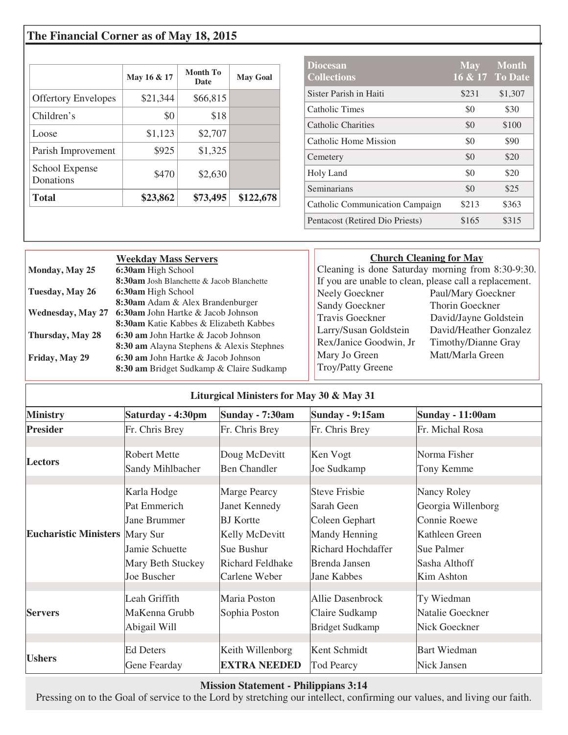# **The Financial Corner as of May 18, 2015**

|                             | May 16 & 17 | Month To<br><b>Date</b> | <b>May Goal</b> |
|-----------------------------|-------------|-------------------------|-----------------|
| <b>Offertory Envelopes</b>  | \$21,344    | \$66,815                |                 |
| Children's                  | \$0         | \$18                    |                 |
| Loose                       | \$1,123     | \$2,707                 |                 |
| Parish Improvement          | \$925       | \$1,325                 |                 |
| School Expense<br>Donations | \$470       | \$2,630                 |                 |
| <b>Total</b>                | \$23,862    | \$73,495                | \$122,678       |

| <b>Diocesan</b><br><b>Collections</b>  | <b>May</b> | <b>Month</b><br>16 & 17 To Date |
|----------------------------------------|------------|---------------------------------|
| Sister Parish in Haiti                 | \$231      | \$1,307                         |
| Catholic Times                         | \$0        | \$30                            |
| Catholic Charities                     | \$0        | \$100                           |
| Catholic Home Mission                  | \$0        | \$90                            |
| Cemetery                               | \$0        | \$20                            |
| Holy Land                              | \$0        | \$20                            |
| Seminarians                            | \$0        | \$25                            |
| <b>Catholic Communication Campaign</b> | \$213      | \$363                           |
| Pentacost (Retired Dio Priests)        | \$165      | \$315                           |

|                          | <b>Weekday Mass Servers</b>                                                     | <b>Church Cleaning for May</b> |                                                        |
|--------------------------|---------------------------------------------------------------------------------|--------------------------------|--------------------------------------------------------|
| Monday, May 25           | 6:30am High School                                                              |                                | Cleaning is done Saturday morning from 8:30-9:30.      |
|                          | 8:30am Josh Blanchette & Jacob Blanchette                                       |                                | If you are unable to clean, please call a replacement. |
| Tuesday, May 26          | 6:30am High School                                                              | Neely Goeckner                 | Paul/Mary Goeckner                                     |
|                          | 8:30am Adam & Alex Brandenburger                                                | <b>Sandy Goeckner</b>          | Thorin Goeckner                                        |
| <b>Wednesday, May 27</b> | 6:30am John Hartke & Jacob Johnson                                              | Travis Goeckner                | David/Jayne Goldstein                                  |
|                          | 8:30am Katie Kabbes & Elizabeth Kabbes                                          | Larry/Susan Goldstein          | David/Heather Gonzalez                                 |
| Thursday, May 28         | 6:30 am John Hartke & Jacob Johnson                                             | Rex/Janice Goodwin, Jr         | Timothy/Dianne Gray                                    |
|                          | 8:30 am Alayna Stephens & Alexis Stephnes                                       | Mary Jo Green                  | Matt/Marla Green                                       |
| Friday, May 29           | 6:30 am John Hartke & Jacob Johnson<br>8:30 am Bridget Sudkamp & Claire Sudkamp | Troy/Patty Greene              |                                                        |

|  | Liturgical Ministers for May 30 & May 31 |
|--|------------------------------------------|
|--|------------------------------------------|

| <b>Ministry</b>                       | Saturday - 4:30pm   | <b>Sunday - 7:30am</b> | <b>Sunday - 9:15am</b> | <b>Sunday - 11:00am</b> |
|---------------------------------------|---------------------|------------------------|------------------------|-------------------------|
| <b>Presider</b>                       | Fr. Chris Brey      | Fr. Chris Brey         | Fr. Chris Brey         | Fr. Michal Rosa         |
|                                       | <b>Robert Mette</b> | Doug McDevitt          | Ken Vogt               | Norma Fisher            |
| <b>Lectors</b>                        | Sandy Mihlbacher    | <b>Ben Chandler</b>    | Joe Sudkamp            | Tony Kemme              |
| <b>Eucharistic Ministers Mary Sur</b> | Karla Hodge         | Marge Pearcy           | <b>Steve Frisbie</b>   | Nancy Roley             |
|                                       | Pat Emmerich        | <b>Janet Kennedy</b>   | Sarah Geen             | Georgia Willenborg      |
|                                       | Jane Brummer        | <b>BJ</b> Kortte       | Coleen Gephart         | Connie Roewe            |
|                                       |                     | Kelly McDevitt         | Mandy Henning          | Kathleen Green          |
|                                       | Jamie Schuette      | Sue Bushur             | Richard Hochdaffer     | Sue Palmer              |
|                                       | Mary Beth Stuckey   | Richard Feldhake       | Brenda Jansen          | Sasha Althoff           |
|                                       | Joe Buscher         | Carlene Weber          | Jane Kabbes            | Kim Ashton              |
| <b>Servers</b>                        | Leah Griffith       | Maria Poston           | Allie Dasenbrock       | Ty Wiedman              |
|                                       | MaKenna Grubb       | Sophia Poston          | Claire Sudkamp         | Natalie Goeckner        |
|                                       | Abigail Will        |                        | <b>Bridget Sudkamp</b> | Nick Goeckner           |
|                                       |                     |                        |                        |                         |
| <b>Ushers</b>                         | <b>Ed Deters</b>    | Keith Willenborg       | Kent Schmidt           | <b>Bart Wiedman</b>     |
|                                       | Gene Fearday        | <b>EXTRA NEEDED</b>    | <b>Tod Pearcy</b>      | Nick Jansen             |

# **Mission Statement - Philippians 3:14**

Pressing on to the Goal of service to the Lord by stretching our intellect, confirming our values, and living our faith.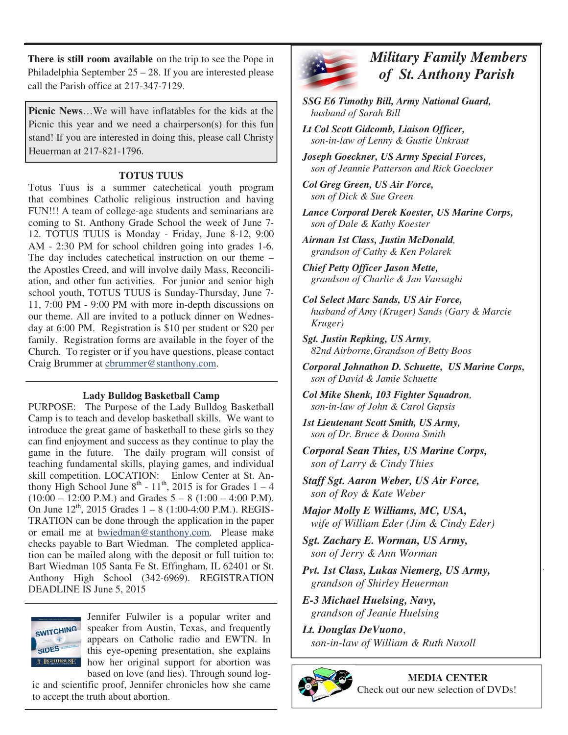**There is still room available** on the trip to see the Pope in Philadelphia September 25 – 28. If you are interested please call the Parish office at 217-347-7129.

**Picnic News**…We will have inflatables for the kids at the Picnic this year and we need a chairperson(s) for this fun stand! If you are interested in doing this, please call Christy Heuerman at 217-821-1796.

# **TOTUS TUUS**

Totus Tuus is a summer catechetical youth program that combines Catholic religious instruction and having FUN!!! A team of college-age students and seminarians are coming to St. Anthony Grade School the week of June 7- 12. TOTUS TUUS is Monday - Friday, June 8-12, 9:00 AM - 2:30 PM for school children going into grades 1-6. The day includes catechetical instruction on our theme – the Apostles Creed, and will involve daily Mass, Reconciliation, and other fun activities. For junior and senior high school youth, TOTUS TUUS is Sunday-Thursday, June 7- 11, 7:00 PM - 9:00 PM with more in-depth discussions on our theme. All are invited to a potluck dinner on Wednesday at 6:00 PM. Registration is \$10 per student or \$20 per family. Registration forms are available in the foyer of the Church. To register or if you have questions, please contact Craig Brummer at cbrummer@stanthony.com.

# **Lady Bulldog Basketball Camp**

PURPOSE:The Purpose of the Lady Bulldog Basketball Camp is to teach and develop basketball skills. We want to introduce the great game of basketball to these girls so they can find enjoyment and success as they continue to play the game in the future. The daily program will consist of teaching fundamental skills, playing games, and individual skill competition. LOCATION:Enlow Center at St. Anthony High School June  $8^{th}$  -  $11^{th}$ , 2015 is for Grades  $1 - 4$  $(10:00 - 12:00 \text{ P.M.})$  and Grades  $5 - 8 (1:00 - 4:00 \text{ P.M.})$ . On June  $12^{th}$ , 2015 Grades  $1 - 8$  (1:00-4:00 P.M.). REGIS-TRATION can be done through the application in the paper or email me at bwiedman@stanthony.com. Please make checks payable to Bart Wiedman. The completed application can be mailed along with the deposit or full tuition to: Bart Wiedman 105 Santa Fe St. Effingham, IL 62401 or St. Anthony High School (342-6969). REGISTRATION DEADLINE IS June 5, 2015



Jennifer Fulwiler is a popular writer and speaker from Austin, Texas, and frequently appears on Catholic radio and EWTN. In this eye-opening presentation, she explains how her original support for abortion was based on love (and lies). Through sound log-

ic and scientific proof, Jennifer chronicles how she came to accept the truth about abortion.



 *Military Family Members of St. Anthony Parish* 

 *SSG E6 Timothy Bill, Army National Guard, husband of Sarah Bill* 

 *Lt Col Scott Gidcomb, Liaison Officer, son-in-law of Lenny & Gustie Unkraut* 

 *Joseph Goeckner, US Army Special Forces, son of Jeannie Patterson and Rick Goeckner* 

 *Col Greg Green, US Air Force, son of Dick & Sue Green* 

 *Lance Corporal Derek Koester, US Marine Corps, son of Dale & Kathy Koester* 

 *Airman 1st Class, Justin McDonald, grandson of Cathy & Ken Polarek* 

 *Chief Petty Officer Jason Mette, grandson of Charlie & Jan Vansaghi* 

 *Col Select Marc Sands, US Air Force, husband of Amy (Kruger) Sands (Gary & Marcie Kruger)* 

 *Sgt. Justin Repking, US Army, 82nd Airborne, Grandson of Betty Boos* 

 *Corporal Johnathon D. Schuette, US Marine Corps, son of David & Jamie Schuette* 

 *Col Mike Shenk, 103 Fighter Squadron, son-in-law of John & Carol Gapsis* 

 *1st Lieutenant Scott Smith, US Army, son of Dr. Bruce & Donna Smith* 

 *Corporal Sean Thies, US Marine Corps, son of Larry & Cindy Thies* 

 *Staff Sgt. Aaron Weber, US Air Force, son of Roy & Kate Weber* 

 *Major Molly E Williams, MC, USA, wife of William Eder (Jim & Cindy Eder)* 

 *Sgt. Zachary E. Worman, US Army, son of Jerry & Ann Worman* 

 *Pvt. 1st Class, Lukas Niemerg, US Army, grandson of Shirley Heuerman* 

 *E-3 Michael Huelsing, Navy, grandson of Jeanie Huelsing* 

 *Lt. Douglas DeVuono*, *son-in-law of William & Ruth Nuxoll* 



**MEDIA CENTER**  Check out our new selection of DVDs!